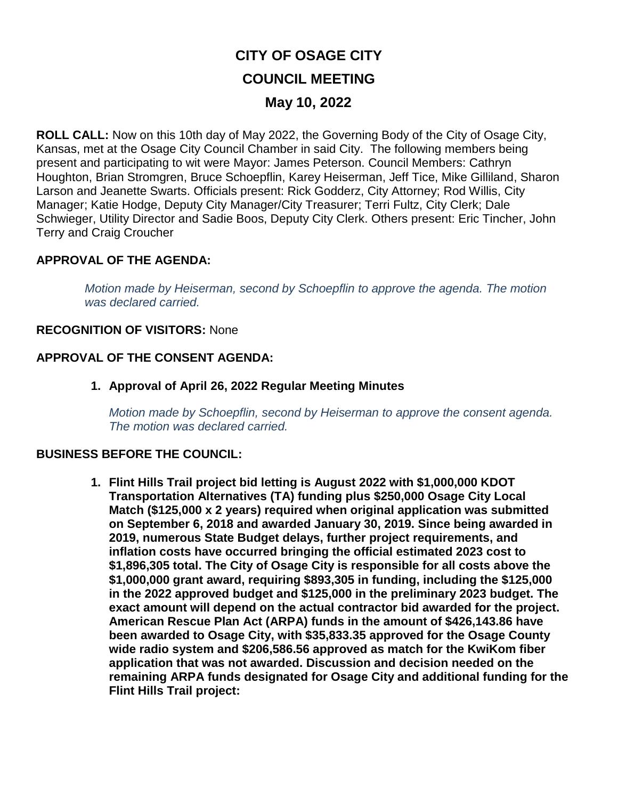# **CITY OF OSAGE CITY COUNCIL MEETING May 10, 2022**

**ROLL CALL:** Now on this 10th day of May 2022, the Governing Body of the City of Osage City, Kansas, met at the Osage City Council Chamber in said City. The following members being present and participating to wit were Mayor: James Peterson. Council Members: Cathryn Houghton, Brian Stromgren, Bruce Schoepflin, Karey Heiserman, Jeff Tice, Mike Gilliland, Sharon Larson and Jeanette Swarts. Officials present: Rick Godderz, City Attorney; Rod Willis, City Manager; Katie Hodge, Deputy City Manager/City Treasurer; Terri Fultz, City Clerk; Dale Schwieger, Utility Director and Sadie Boos, Deputy City Clerk. Others present: Eric Tincher, John Terry and Craig Croucher

## **APPROVAL OF THE AGENDA:**

*Motion made by Heiserman, second by Schoepflin to approve the agenda. The motion was declared carried.*

### **RECOGNITION OF VISITORS:** None

## **APPROVAL OF THE CONSENT AGENDA:**

**1. Approval of April 26, 2022 Regular Meeting Minutes**

*Motion made by Schoepflin, second by Heiserman to approve the consent agenda. The motion was declared carried.*

#### **BUSINESS BEFORE THE COUNCIL:**

**1. Flint Hills Trail project bid letting is August 2022 with \$1,000,000 KDOT Transportation Alternatives (TA) funding plus \$250,000 Osage City Local Match (\$125,000 x 2 years) required when original application was submitted on September 6, 2018 and awarded January 30, 2019. Since being awarded in 2019, numerous State Budget delays, further project requirements, and inflation costs have occurred bringing the official estimated 2023 cost to \$1,896,305 total. The City of Osage City is responsible for all costs above the \$1,000,000 grant award, requiring \$893,305 in funding, including the \$125,000 in the 2022 approved budget and \$125,000 in the preliminary 2023 budget. The exact amount will depend on the actual contractor bid awarded for the project. American Rescue Plan Act (ARPA) funds in the amount of \$426,143.86 have been awarded to Osage City, with \$35,833.35 approved for the Osage County wide radio system and \$206,586.56 approved as match for the KwiKom fiber application that was not awarded. Discussion and decision needed on the remaining ARPA funds designated for Osage City and additional funding for the Flint Hills Trail project:**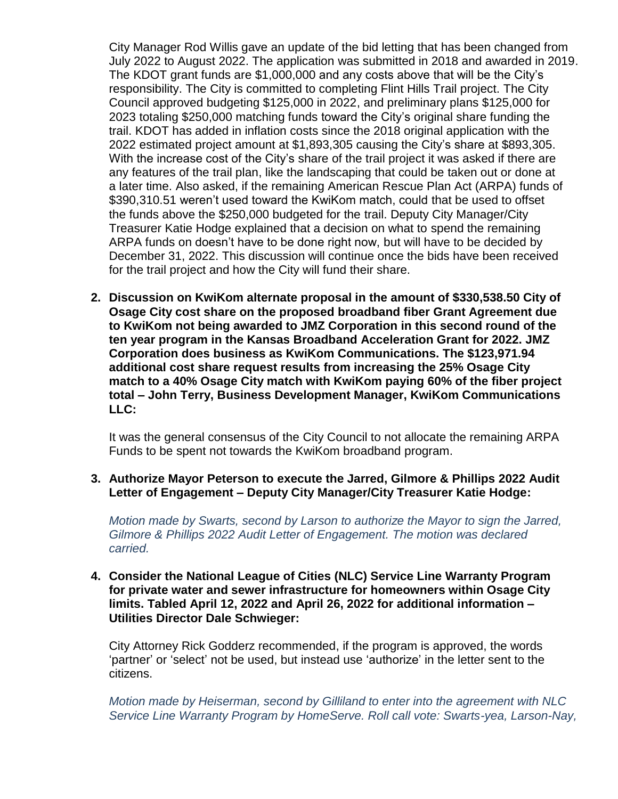City Manager Rod Willis gave an update of the bid letting that has been changed from July 2022 to August 2022. The application was submitted in 2018 and awarded in 2019. The KDOT grant funds are \$1,000,000 and any costs above that will be the City's responsibility. The City is committed to completing Flint Hills Trail project. The City Council approved budgeting \$125,000 in 2022, and preliminary plans \$125,000 for 2023 totaling \$250,000 matching funds toward the City's original share funding the trail. KDOT has added in inflation costs since the 2018 original application with the 2022 estimated project amount at \$1,893,305 causing the City's share at \$893,305. With the increase cost of the City's share of the trail project it was asked if there are any features of the trail plan, like the landscaping that could be taken out or done at a later time. Also asked, if the remaining American Rescue Plan Act (ARPA) funds of \$390,310.51 weren't used toward the KwiKom match, could that be used to offset the funds above the \$250,000 budgeted for the trail. Deputy City Manager/City Treasurer Katie Hodge explained that a decision on what to spend the remaining ARPA funds on doesn't have to be done right now, but will have to be decided by December 31, 2022. This discussion will continue once the bids have been received for the trail project and how the City will fund their share.

**2. Discussion on KwiKom alternate proposal in the amount of \$330,538.50 City of Osage City cost share on the proposed broadband fiber Grant Agreement due to KwiKom not being awarded to JMZ Corporation in this second round of the ten year program in the Kansas Broadband Acceleration Grant for 2022. JMZ Corporation does business as KwiKom Communications. The \$123,971.94 additional cost share request results from increasing the 25% Osage City match to a 40% Osage City match with KwiKom paying 60% of the fiber project total – John Terry, Business Development Manager, KwiKom Communications LLC:**

It was the general consensus of the City Council to not allocate the remaining ARPA Funds to be spent not towards the KwiKom broadband program.

#### **3. Authorize Mayor Peterson to execute the Jarred, Gilmore & Phillips 2022 Audit Letter of Engagement – Deputy City Manager/City Treasurer Katie Hodge:**

*Motion made by Swarts, second by Larson to authorize the Mayor to sign the Jarred, Gilmore & Phillips 2022 Audit Letter of Engagement. The motion was declared carried.*

#### **4. Consider the National League of Cities (NLC) Service Line Warranty Program for private water and sewer infrastructure for homeowners within Osage City limits. Tabled April 12, 2022 and April 26, 2022 for additional information – Utilities Director Dale Schwieger:**

City Attorney Rick Godderz recommended, if the program is approved, the words 'partner' or 'select' not be used, but instead use 'authorize' in the letter sent to the citizens.

*Motion made by Heiserman, second by Gilliland to enter into the agreement with NLC Service Line Warranty Program by HomeServe. Roll call vote: Swarts-yea, Larson-Nay,*